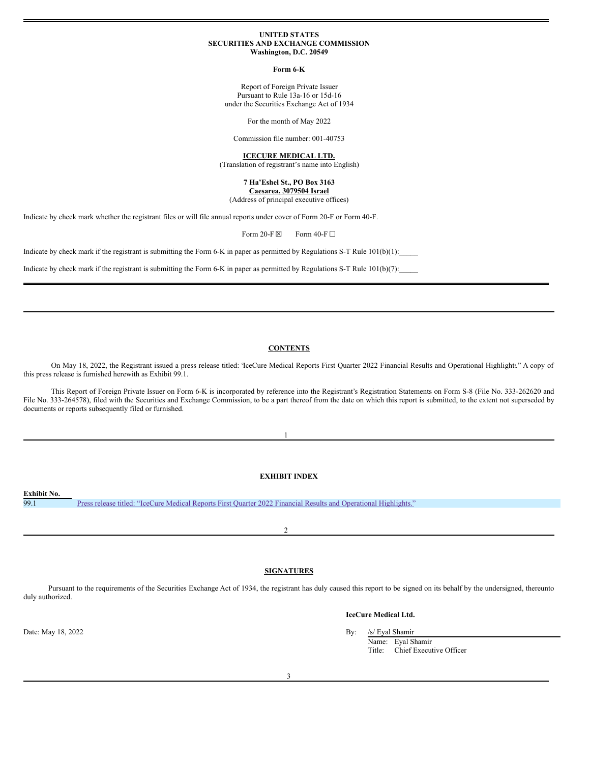#### **UNITED STATES SECURITIES AND EXCHANGE COMMISSION Washington, D.C. 20549**

**Form 6-K**

Report of Foreign Private Issuer Pursuant to Rule 13a-16 or 15d-16 under the Securities Exchange Act of 1934

For the month of May 2022

Commission file number: 001-40753

#### **ICECURE MEDICAL LTD.**

(Translation of registrant's name into English)

#### **7 Ha'Eshel St., PO Box 3163 Caesarea, 3079504 Israel**

(Address of principal executive offices)

Indicate by check mark whether the registrant files or will file annual reports under cover of Form 20-F or Form 40-F.

Form 20-F $\boxtimes$  Form 40-F $\square$ 

Indicate by check mark if the registrant is submitting the Form 6-K in paper as permitted by Regulations S-T Rule  $101(b)(1)$ :

Indicate by check mark if the registrant is submitting the Form 6-K in paper as permitted by Regulations S-T Rule  $101(b)(7)$ :

#### **CONTENTS**

On May 18, 2022, the Registrant issued a press release titled: "IceCure Medical Reports First Quarter 2022 Financial Results and Operational Highlights." A copy of this press release is furnished herewith as Exhibit 99.1.

This Report of Foreign Private Issuer on Form 6-K is incorporated by reference into the Registrant's Registration Statements on Form S-8 (File No. 333-262620 and File No. 333-264578), filed with the Securities and Exchange Commission, to be a part thereof from the date on which this report is submitted, to the extent not superseded by documents or reports subsequently filed or furnished.

## **EXHIBIT INDEX**

1

**Exhibit No.** 99.1 Press release titled: "IceCure Medical Reports First Quarter 2022 Financial Results and [Operational](#page-2-0) Highlights."

2

#### **SIGNATURES**

Pursuant to the requirements of the Securities Exchange Act of 1934, the registrant has duly caused this report to be signed on its behalf by the undersigned, thereunto duly authorized.

Date: May 18, 2022 By: /s/ Eyal Shamir



Name: Eyal Shamir Title: Chief Executive Officer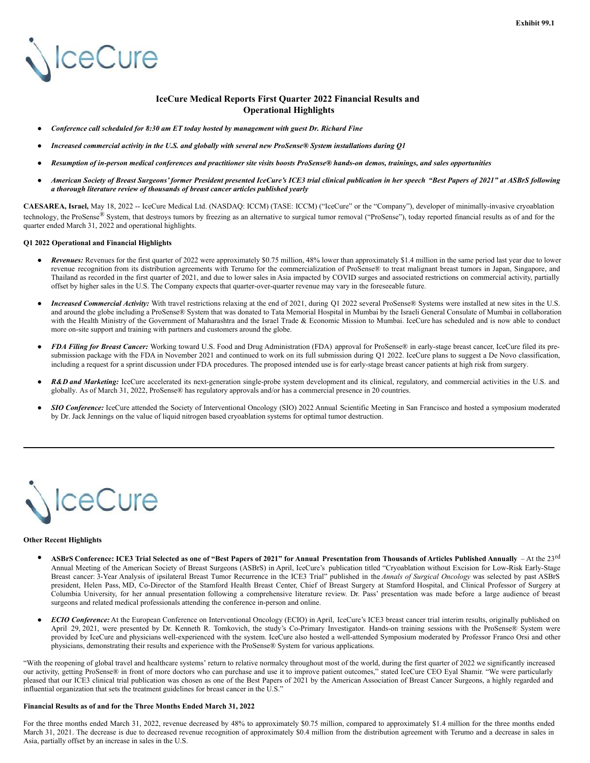# **NceCure**

#### **IceCure Medical Reports First Quarter 2022 Financial Results and Operational Highlights**

- *Conference call scheduled for 8:30 am ET today hosted by management with guest Dr. Richard Fine*
- Increased commercial activity in the U.S. and globally with several new ProSense® System installations during O1
- Resumption of in-person medical conferences and practitioner site visits boosts ProSense® hands-on demos, trainings, and sales opportunities
- American Society of Breast Surgeons' former President presented IceCure's ICE3 trial clinical publication in her speech "Best Papers of 2021" at ASBrS following *a thorough literature review of thousands of breast cancer articles published yearly*

**CAESAREA, Israel,** May 18, 2022 -- IceCure Medical Ltd. (NASDAQ: ICCM) (TASE: ICCM) ("IceCure" or the "Company"), developer of minimally-invasive cryoablation technology, the ProSense® System, that destroys tumors by freezing as an alternative to surgical tumor removal ("ProSense"), today reported financial results as of and for the quarter ended March 31, 2022 and operational highlights.

#### **Q1 2022 Operational and Financial Highlights**

- Revenues: Revenues for the first quarter of 2022 were approximately \$0.75 million, 48% lower than approximately \$1.4 million in the same period last year due to lower revenue recognition from its distribution agreements with Terumo for the commercialization of ProSense® to treat malignant breast tumors in Japan, Singapore, and Thailand as recorded in the first quarter of 2021, and due to lower sales in Asia impacted by COVID surges and associated restrictions on commercial activity, partially offset by higher sales in the U.S. The Company expects that quarter-over-quarter revenue may vary in the foreseeable future.
- *Increased Commercial Activity:* With travel restrictions relaxing at the end of 2021, during Q1 2022 several ProSense® Systems were installed at new sites in the U.S. and around the globe including a ProSense® System that was donated to Tata Memorial Hospital in Mumbai by the Israeli General Consulate of Mumbai in collaboration with the Health Ministry of the Government of Maharashtra and the Israel Trade & Economic Mission to Mumbai. IceCure has scheduled and is now able to conduct more on-site support and training with partners and customers around the globe.
- *FDA Filing for Breast Cancer:* Working toward U.S. Food and Drug Administration (FDA) approval for ProSense® in early-stage breast cancer, IceCure filed its presubmission package with the FDA in November 2021 and continued to work on its full submission during Q1 2022. IceCure plans to suggest a De Novo classification, including a request for a sprint discussion under FDA procedures. The proposed intended use is for early-stage breast cancer patients at high risk from surgery.
- R&D and Marketing: IceCure accelerated its next-generation single-probe system development and its clinical, regulatory, and commercial activities in the U.S. and globally. As of March 31, 2022, ProSense® has regulatory approvals and/or has a commercial presence in 20 countries.
- *SIO Conference:* IceCure attended the Society of Interventional Oncology (SIO) 2022 Annual Scientific Meeting in San Francisco and hosted a symposium moderated by Dr. Jack Jennings on the value of liquid nitrogen based cryoablation systems for optimal tumor destruction.



#### **Other Recent Highlights**

- ASBrS Conference: ICE3 Trial Selected as one of "Best Papers of 2021" for Annual Presentation from Thousands of Articles Published Annually  $-A$ t the 23<sup>rd</sup> Annual Meeting of the American Society of Breast Surgeons (ASBrS) in April, IceCure's publication titled "Cryoablation without Excision for Low-Risk Early-Stage Breast cancer: 3-Year Analysis of ipsilateral Breast Tumor Recurrence in the ICE3 Trial" published in the *Annals of Surgical Oncology* was selected by past ASBrS president, Helen Pass, MD, Co-Director of the Stamford Health Breast Center, Chief of Breast Surgery at Stamford Hospital, and Clinical Professor of Surgery at Columbia University, for her annual presentation following a comprehensive literature review. Dr. Pass' presentation was made before a large audience of breast surgeons and related medical professionals attending the conference in-person and online.
- **ECIO** Conference: At the European Conference on Interventional Oncology (ECIO) in April, IceCure's ICE3 breast cancer trial interim results, originally published on April 29, 2021, were presented by Dr. Kenneth R. Tomkovich, the study's Co-Primary Investigator. Hands-on training sessions with the ProSense® System were provided by IceCure and physicians well-experienced with the system. IceCure also hosted a well-attended Symposium moderated by Professor Franco Orsi and other physicians, demonstrating their results and experience with the ProSense® System for various applications.

"With the reopening of global travel and healthcare systems' return to relative normalcy throughout most of the world, during the first quarter of 2022 we significantly increased our activity, getting ProSense® in front of more doctors who can purchase and use it to improve patient outcomes," stated IceCure CEO Eyal Shamir. "We were particularly pleased that our ICE3 clinical trial publication was chosen as one of the Best Papers of 2021 by the American Association of Breast Cancer Surgeons, a highly regarded and influential organization that sets the treatment guidelines for breast cancer in the U.S."

#### **Financial Results as of and for the Three Months Ended March 31, 2022**

For the three months ended March 31, 2022, revenue decreased by 48% to approximately \$0.75 million, compared to approximately \$1.4 million for the three months ended March 31, 2021. The decrease is due to decreased revenue recognition of approximately \$0.4 million from the distribution agreement with Terumo and a decrease in sales in Asia, partially offset by an increase in sales in the U.S.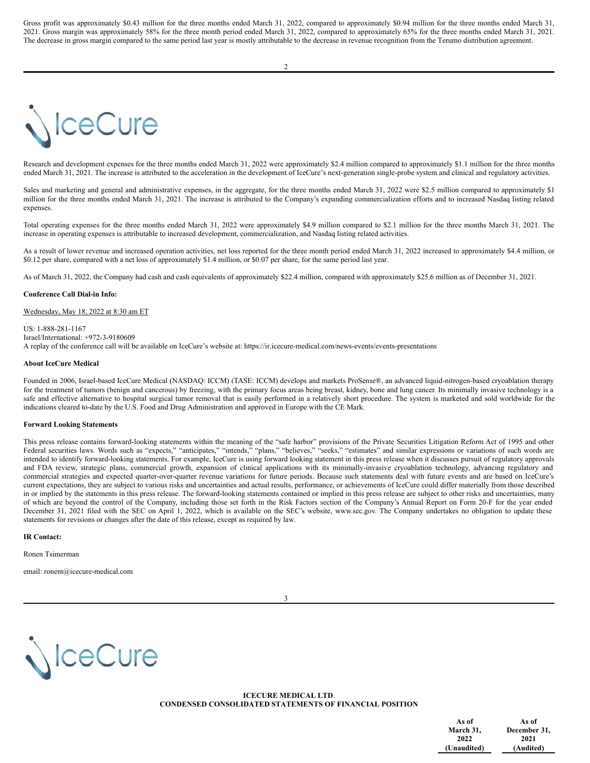<span id="page-2-0"></span>Gross profit was approximately \$0.43 million for the three months ended March 31, 2022, compared to approximately \$0.94 million for the three months ended March 31, 2021. Gross margin was approximately 58% for the three month period ended March 31, 2022, compared to approximately 65% for the three months ended March 31, 2021. The decrease in gross margin compared to the same period last year is mostly attributable to the decrease in revenue recognition from the Terumo distribution agreement.

## **IceCure**

Research and development expenses for the three months ended March 31, 2022 were approximately \$2.4 million compared to approximately \$1.1 million for the three months ended March 31, 2021. The increase is attributed to the acceleration in the development of IceCure's next-generation single-probe system and clinical and regulatory activities.

Sales and marketing and general and administrative expenses, in the aggregate, for the three months ended March 31, 2022 were \$2.5 million compared to approximately \$1 million for the three months ended March 31, 2021. The increase is attributed to the Company's expanding commercialization efforts and to increased Nasdaq listing related expenses.

Total operating expenses for the three months ended March 31, 2022 were approximately \$4.9 million compared to \$2.1 million for the three months March 31, 2021. The increase in operating expenses is attributable to increased development, commercialization, and Nasdaq listing related activities.

As a result of lower revenue and increased operation activities, net loss reported for the three month period ended March 31, 2022 increased to approximately \$4.4 million, or \$0.12 per share, compared with a net loss of approximately \$1.4 million, or \$0.07 per share, for the same period last year.

As of March 31, 2022, the Company had cash and cash equivalents of approximately \$22.4 million, compared with approximately \$25.6 million as of December 31, 2021.

#### **Conference Call Dial-in Info:**

#### Wednesday, May 18, 2022 at 8:30 am ET

US: 1-888-281-1167 Israel/International: +972-3-9180609 A replay of the conference call will be available on IceCure's website at: https://ir.icecure-medical.com/news-events/events-presentations

#### **About IceCure Medical**

Founded in 2006, Israel-based IceCure Medical (NASDAQ: ICCM) (TASE: ICCM) develops and markets ProSense®, an advanced liquid-nitrogen-based cryoablation therapy for the treatment of tumors (benign and cancerous) by freezing, with the primary focus areas being breast, kidney, bone and lung cancer. Its minimally invasive technology is a safe and effective alternative to hospital surgical tumor removal that is easily performed in a relatively short procedure. The system is marketed and sold worldwide for the indications cleared to-date by the U.S. Food and Drug Administration and approved in Europe with the CE Mark.

#### **Forward Looking Statements**

This press release contains forward-looking statements within the meaning of the "safe harbor" provisions of the Private Securities Litigation Reform Act of 1995 and other Federal securities laws. Words such as "expects," "anticipates," "intends," "plans," "believes," "seeks," "estimates" and similar expressions or variations of such words are intended to identify forward-looking statements. For example, IceCure is using forward looking statement in this press release when it discusses pursuit of regulatory approvals and FDA review, strategic plans, commercial growth, expansion of clinical applications with its minimally-invasive cryoablation technology, advancing regulatory and commercial strategies and expected quarter-over-quarter revenue variations for future periods. Because such statements deal with future events and are based on IceCure's current expectations, they are subject to various risks and uncertainties and actual results, performance, or achievements of IceCure could differ materially from those described in or implied by the statements in this press release. The forward-looking statements contained or implied in this press release are subject to other risks and uncertainties, many of which are beyond the control of the Company, including those set forth in the Risk Factors section of the Company's Annual Report on Form 20-F for the year ended December 31, 2021 filed with the SEC on April 1, 2022, which is available on the SEC's website, www.sec.gov. The Company undertakes no obligation to update these statements for revisions or changes after the date of this release, except as required by law.

#### **IR Contact:**

Ronen Tsimerman

email: ronent@icecure-medical.com





**ICECURE MEDICAL LTD**. **CONDENSED CONSOLIDATED STATEMENTS OF FINANCIAL POSITION**

| As of       | As of        |
|-------------|--------------|
| March 31,   | December 31, |
| 2022        | 2021         |
| (Unaudited) | (Audited)    |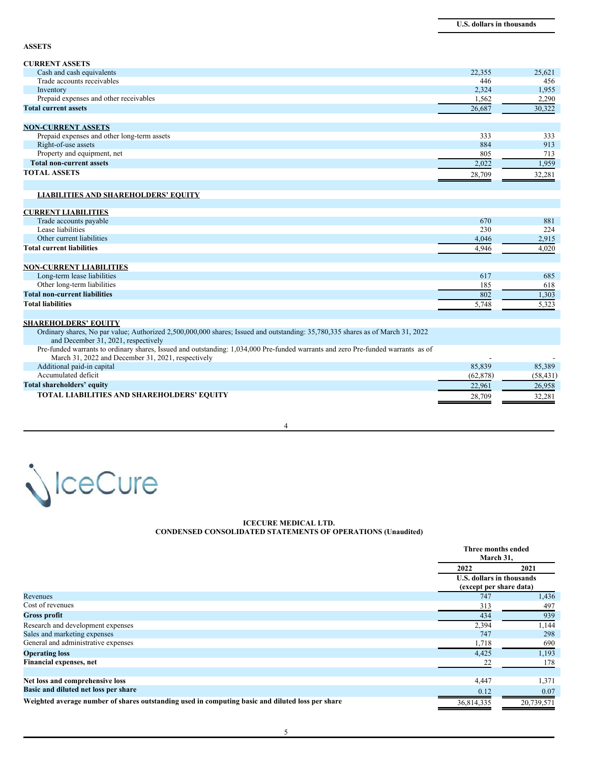**ASSETS**

| <b>CURRENT ASSETS</b>                       |        |        |
|---------------------------------------------|--------|--------|
| Cash and cash equivalents                   | 22,355 | 25,621 |
| Trade accounts receivables                  | 446    | 456    |
| Inventory                                   | 2,324  | 1,955  |
| Prepaid expenses and other receivables      | 1,562  | 2,290  |
| <b>Total current assets</b>                 | 26,687 | 30,322 |
|                                             |        |        |
| <b>NON-CURRENT ASSETS</b>                   |        |        |
| Prepaid expenses and other long-term assets | 333    | 333    |
| Right-of-use assets                         | 884    | 913    |
| Property and equipment, net                 | 805    | 713    |
| <b>Total non-current assets</b>             | 2,022  | 1,959  |

### **TOTAL ASSETS** 28,709 32,281

#### **LIABILITIES AND SHAREHOLDERS' EQUITY**

#### **CURRENT LIABILITIES**

| Trade accounts payable               | 670   | 881   |
|--------------------------------------|-------|-------|
| Lease liabilities                    | 230   | 224   |
| Other current liabilities            | 4,046 | 2,915 |
| <b>Total current liabilities</b>     | 4.946 | 4,020 |
|                                      |       |       |
| <b>NON-CURRENT LIABILITIES</b>       |       |       |
| Long-term lease liabilities          | 617   | 685   |
| Other long-term liabilities          | 185   | 618   |
| <b>Total non-current liabilities</b> | 802   | 1,303 |
| <b>Total liabilities</b>             | 5,748 | 5,323 |
|                                      |       |       |

#### **SHAREHOLDERS' EQUITY**

Ordinary shares, No par value; Authorized 2,500,000,000 shares; Issued and outstanding: 35,780,335 shares as of March 31, 2022 and December 31, 2021, respectively Pre-funded warrants to ordinary shares, Issued and outstanding: 1,034,000 Pre-funded warrants and zero Pre-funded warrants as of March 31, 2022 and December 31, 2021, respectively<br>
itional paid-in capital and state and state and state and state and state and state and state and state and state and state and state and state and state and state and st Additional paid-in capital Accumulated deficit (62,878) (58,431) **Total shareholders' equity** 22,961 26,958 **TOTAL LIABILITIES AND SHAREHOLDERS' EQUITY 32,281** 

4



#### **ICECURE MEDICAL LTD. CONDENSED CONSOLIDATED STATEMENTS OF OPERATIONS (Unaudited)**

|                                                                                                  | Three months ended<br>March 31, |                                                             |  |
|--------------------------------------------------------------------------------------------------|---------------------------------|-------------------------------------------------------------|--|
|                                                                                                  | 2022                            | 2021                                                        |  |
|                                                                                                  |                                 | <b>U.S. dollars in thousands</b><br>(except per share data) |  |
| Revenues                                                                                         | 747                             | 1,436                                                       |  |
| Cost of revenues                                                                                 | 313                             | 497                                                         |  |
| <b>Gross profit</b>                                                                              | 434                             | 939                                                         |  |
| Research and development expenses                                                                | 2,394                           | 1,144                                                       |  |
| Sales and marketing expenses                                                                     | 747                             | 298                                                         |  |
| General and administrative expenses                                                              | 1,718                           | 690                                                         |  |
| <b>Operating loss</b>                                                                            | 4,425                           | 1,193                                                       |  |
| Financial expenses, net                                                                          | 22                              | 178                                                         |  |
|                                                                                                  |                                 |                                                             |  |
| Net loss and comprehensive loss                                                                  | 4,447                           | 1,371                                                       |  |
| Basic and diluted net loss per share                                                             | 0.12                            | 0.07                                                        |  |
| Weighted average number of shares outstanding used in computing basic and diluted loss per share | 36,814,335                      | 20,739,571                                                  |  |